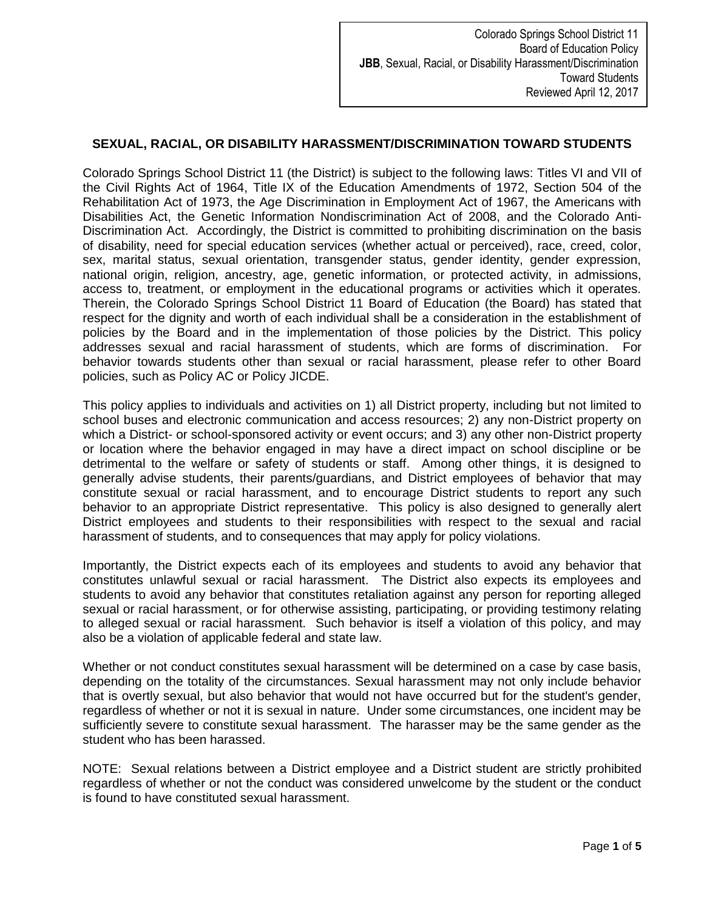## **SEXUAL, RACIAL, OR DISABILITY HARASSMENT/DISCRIMINATION TOWARD STUDENTS**

Colorado Springs School District 11 (the District) is subject to the following laws: Titles VI and VII of the Civil Rights Act of 1964, Title IX of the Education Amendments of 1972, Section 504 of the Rehabilitation Act of 1973, the Age Discrimination in Employment Act of 1967, the Americans with Disabilities Act, the Genetic Information Nondiscrimination Act of 2008, and the Colorado Anti-Discrimination Act. Accordingly, the District is committed to prohibiting discrimination on the basis of disability, need for special education services (whether actual or perceived), race, creed, color, sex, marital status, sexual orientation, transgender status, gender identity, gender expression, national origin, religion, ancestry, age, genetic information, or protected activity, in admissions, access to, treatment, or employment in the educational programs or activities which it operates. Therein, the Colorado Springs School District 11 Board of Education (the Board) has stated that respect for the dignity and worth of each individual shall be a consideration in the establishment of policies by the Board and in the implementation of those policies by the District. This policy addresses sexual and racial harassment of students, which are forms of discrimination. For behavior towards students other than sexual or racial harassment, please refer to other Board policies, such as Policy AC or Policy JICDE.

This policy applies to individuals and activities on 1) all District property, including but not limited to school buses and electronic communication and access resources; 2) any non-District property on which a District- or school-sponsored activity or event occurs; and 3) any other non-District property or location where the behavior engaged in may have a direct impact on school discipline or be detrimental to the welfare or safety of students or staff. Among other things, it is designed to generally advise students, their parents/guardians, and District employees of behavior that may constitute sexual or racial harassment, and to encourage District students to report any such behavior to an appropriate District representative. This policy is also designed to generally alert District employees and students to their responsibilities with respect to the sexual and racial harassment of students, and to consequences that may apply for policy violations.

Importantly, the District expects each of its employees and students to avoid any behavior that constitutes unlawful sexual or racial harassment. The District also expects its employees and students to avoid any behavior that constitutes retaliation against any person for reporting alleged sexual or racial harassment, or for otherwise assisting, participating, or providing testimony relating to alleged sexual or racial harassment. Such behavior is itself a violation of this policy, and may also be a violation of applicable federal and state law.

Whether or not conduct constitutes sexual harassment will be determined on a case by case basis, depending on the totality of the circumstances. Sexual harassment may not only include behavior that is overtly sexual, but also behavior that would not have occurred but for the student's gender, regardless of whether or not it is sexual in nature. Under some circumstances, one incident may be sufficiently severe to constitute sexual harassment. The harasser may be the same gender as the student who has been harassed.

NOTE: Sexual relations between a District employee and a District student are strictly prohibited regardless of whether or not the conduct was considered unwelcome by the student or the conduct is found to have constituted sexual harassment.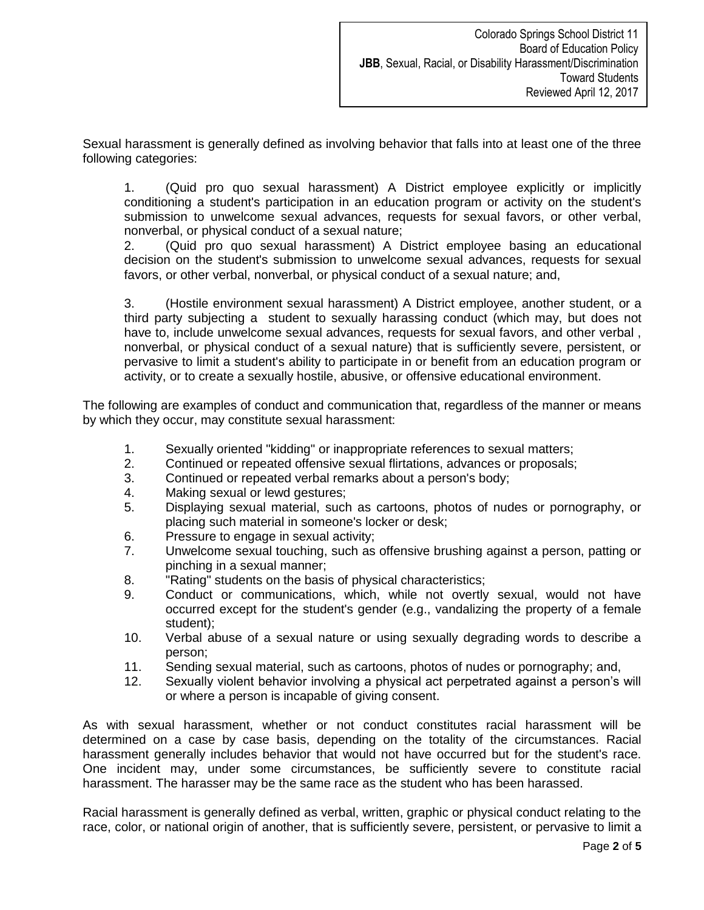Sexual harassment is generally defined as involving behavior that falls into at least one of the three following categories:

1. (Quid pro quo sexual harassment) A District employee explicitly or implicitly conditioning a student's participation in an education program or activity on the student's submission to unwelcome sexual advances, requests for sexual favors, or other verbal, nonverbal, or physical conduct of a sexual nature;

2. (Quid pro quo sexual harassment) A District employee basing an educational decision on the student's submission to unwelcome sexual advances, requests for sexual favors, or other verbal, nonverbal, or physical conduct of a sexual nature; and,

3. (Hostile environment sexual harassment) A District employee, another student, or a third party subjecting a student to sexually harassing conduct (which may, but does not have to, include unwelcome sexual advances, requests for sexual favors, and other verbal , nonverbal, or physical conduct of a sexual nature) that is sufficiently severe, persistent, or pervasive to limit a student's ability to participate in or benefit from an education program or activity, or to create a sexually hostile, abusive, or offensive educational environment.

The following are examples of conduct and communication that, regardless of the manner or means by which they occur, may constitute sexual harassment:

- 1. Sexually oriented "kidding" or inappropriate references to sexual matters;
- 2. Continued or repeated offensive sexual flirtations, advances or proposals;
- 3. Continued or repeated verbal remarks about a person's body;
- 4. Making sexual or lewd gestures;
- 5. Displaying sexual material, such as cartoons, photos of nudes or pornography, or placing such material in someone's locker or desk;
- 6. Pressure to engage in sexual activity;
- 7. Unwelcome sexual touching, such as offensive brushing against a person, patting or pinching in a sexual manner;
- 8. "Rating" students on the basis of physical characteristics;
- 9. Conduct or communications, which, while not overtly sexual, would not have occurred except for the student's gender (e.g., vandalizing the property of a female student);
- 10. Verbal abuse of a sexual nature or using sexually degrading words to describe a person;
- 11. Sending sexual material, such as cartoons, photos of nudes or pornography; and,
- 12. Sexually violent behavior involving a physical act perpetrated against a person's will or where a person is incapable of giving consent.

As with sexual harassment, whether or not conduct constitutes racial harassment will be determined on a case by case basis, depending on the totality of the circumstances. Racial harassment generally includes behavior that would not have occurred but for the student's race. One incident may, under some circumstances, be sufficiently severe to constitute racial harassment. The harasser may be the same race as the student who has been harassed.

Racial harassment is generally defined as verbal, written, graphic or physical conduct relating to the race, color, or national origin of another, that is sufficiently severe, persistent, or pervasive to limit a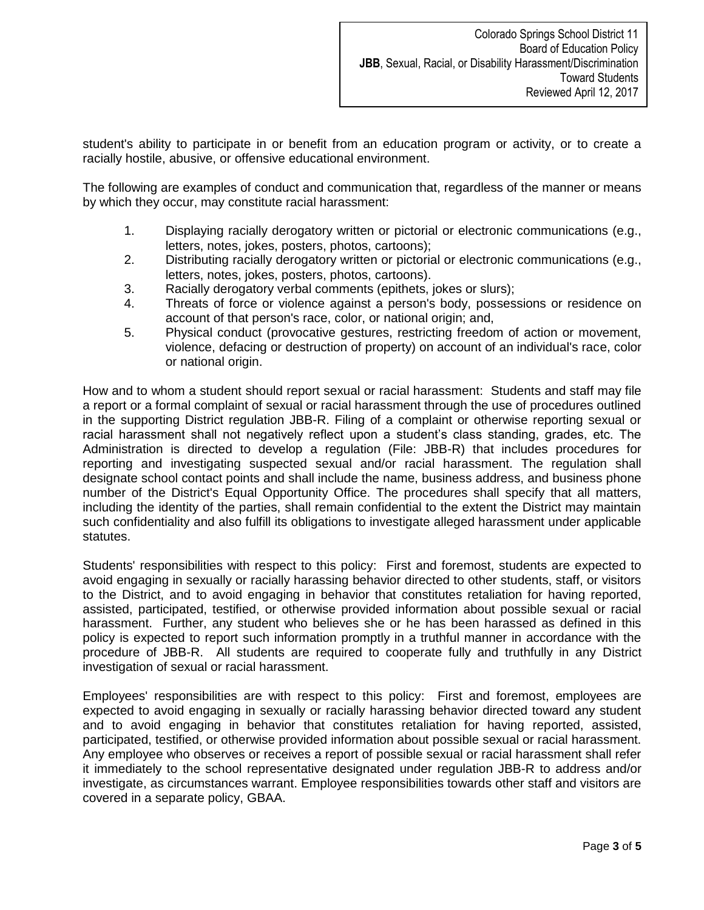student's ability to participate in or benefit from an education program or activity, or to create a racially hostile, abusive, or offensive educational environment.

The following are examples of conduct and communication that, regardless of the manner or means by which they occur, may constitute racial harassment:

- 1. Displaying racially derogatory written or pictorial or electronic communications (e.g., letters, notes, jokes, posters, photos, cartoons);
- 2. Distributing racially derogatory written or pictorial or electronic communications (e.g., letters, notes, jokes, posters, photos, cartoons).
- 3. Racially derogatory verbal comments (epithets, jokes or slurs);
- 4. Threats of force or violence against a person's body, possessions or residence on account of that person's race, color, or national origin; and,
- 5. Physical conduct (provocative gestures, restricting freedom of action or movement, violence, defacing or destruction of property) on account of an individual's race, color or national origin.

How and to whom a student should report sexual or racial harassment: Students and staff may file a report or a formal complaint of sexual or racial harassment through the use of procedures outlined in the supporting District regulation JBB-R. Filing of a complaint or otherwise reporting sexual or racial harassment shall not negatively reflect upon a student's class standing, grades, etc. The Administration is directed to develop a regulation (File: JBB-R) that includes procedures for reporting and investigating suspected sexual and/or racial harassment. The regulation shall designate school contact points and shall include the name, business address, and business phone number of the District's Equal Opportunity Office. The procedures shall specify that all matters, including the identity of the parties, shall remain confidential to the extent the District may maintain such confidentiality and also fulfill its obligations to investigate alleged harassment under applicable statutes.

Students' responsibilities with respect to this policy: First and foremost, students are expected to avoid engaging in sexually or racially harassing behavior directed to other students, staff, or visitors to the District, and to avoid engaging in behavior that constitutes retaliation for having reported, assisted, participated, testified, or otherwise provided information about possible sexual or racial harassment. Further, any student who believes she or he has been harassed as defined in this policy is expected to report such information promptly in a truthful manner in accordance with the procedure of JBB-R. All students are required to cooperate fully and truthfully in any District investigation of sexual or racial harassment.

Employees' responsibilities are with respect to this policy: First and foremost, employees are expected to avoid engaging in sexually or racially harassing behavior directed toward any student and to avoid engaging in behavior that constitutes retaliation for having reported, assisted, participated, testified, or otherwise provided information about possible sexual or racial harassment. Any employee who observes or receives a report of possible sexual or racial harassment shall refer it immediately to the school representative designated under regulation JBB-R to address and/or investigate, as circumstances warrant. Employee responsibilities towards other staff and visitors are covered in a separate policy, GBAA.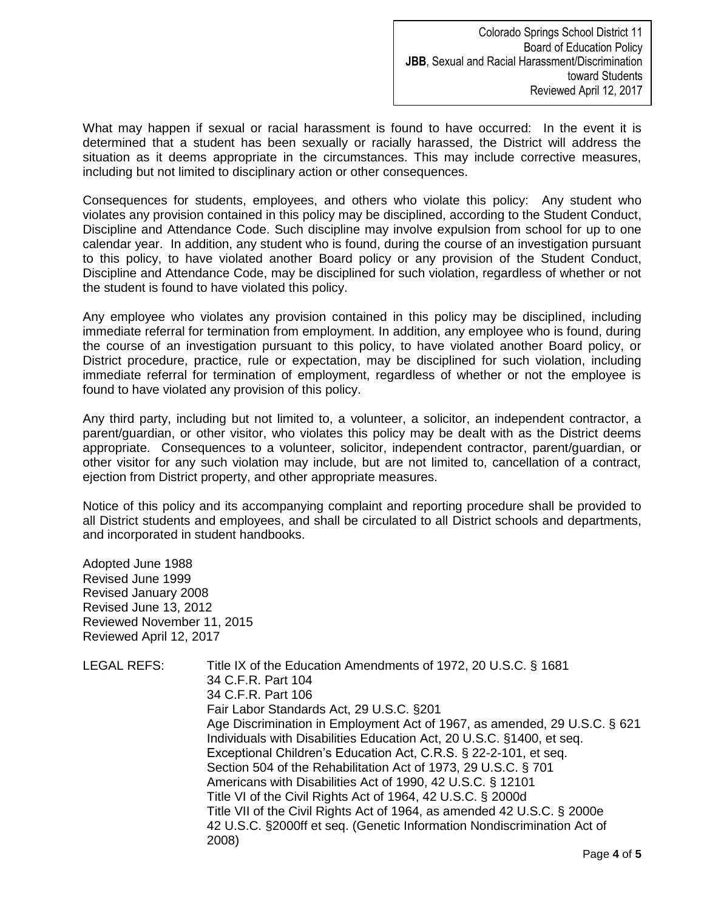Colorado Springs School District 11 Board of Education Policy **JBB**, Sexual and Racial Harassment/Discrimination toward Students Reviewed April 12, 2017

What may happen if sexual or racial harassment is found to have occurred: In the event it is determined that a student has been sexually or racially harassed, the District will address the situation as it deems appropriate in the circumstances. This may include corrective measures, including but not limited to disciplinary action or other consequences.

Consequences for students, employees, and others who violate this policy: Any student who violates any provision contained in this policy may be disciplined, according to the Student Conduct, Discipline and Attendance Code. Such discipline may involve expulsion from school for up to one calendar year. In addition, any student who is found, during the course of an investigation pursuant to this policy, to have violated another Board policy or any provision of the Student Conduct, Discipline and Attendance Code, may be disciplined for such violation, regardless of whether or not the student is found to have violated this policy.

Any employee who violates any provision contained in this policy may be disciplined, including immediate referral for termination from employment. In addition, any employee who is found, during the course of an investigation pursuant to this policy, to have violated another Board policy, or District procedure, practice, rule or expectation, may be disciplined for such violation, including immediate referral for termination of employment, regardless of whether or not the employee is found to have violated any provision of this policy.

Any third party, including but not limited to, a volunteer, a solicitor, an independent contractor, a parent/guardian, or other visitor, who violates this policy may be dealt with as the District deems appropriate. Consequences to a volunteer, solicitor, independent contractor, parent/guardian, or other visitor for any such violation may include, but are not limited to, cancellation of a contract, ejection from District property, and other appropriate measures.

Notice of this policy and its accompanying complaint and reporting procedure shall be provided to all District students and employees, and shall be circulated to all District schools and departments, and incorporated in student handbooks.

Adopted June 1988 Revised June 1999 Revised January 2008 Revised June 13, 2012 Reviewed November 11, 2015 Reviewed April 12, 2017

| Title IX of the Education Amendments of 1972, 20 U.S.C. § 1681            |
|---------------------------------------------------------------------------|
| 34 C.F.R. Part 104                                                        |
| 34 C.F.R. Part 106                                                        |
| Fair Labor Standards Act, 29 U.S.C. §201                                  |
| Age Discrimination in Employment Act of 1967, as amended, 29 U.S.C. § 621 |
| Individuals with Disabilities Education Act, 20 U.S.C. §1400, et seq.     |
| Exceptional Children's Education Act, C.R.S. § 22-2-101, et seq.          |
| Section 504 of the Rehabilitation Act of 1973, 29 U.S.C. § 701            |
| Americans with Disabilities Act of 1990, 42 U.S.C. § 12101                |
| Title VI of the Civil Rights Act of 1964, 42 U.S.C. § 2000d               |
| Title VII of the Civil Rights Act of 1964, as amended 42 U.S.C. § 2000e   |
| 42 U.S.C. §2000ff et seq. (Genetic Information Nondiscrimination Act of   |
| 2008)                                                                     |
|                                                                           |